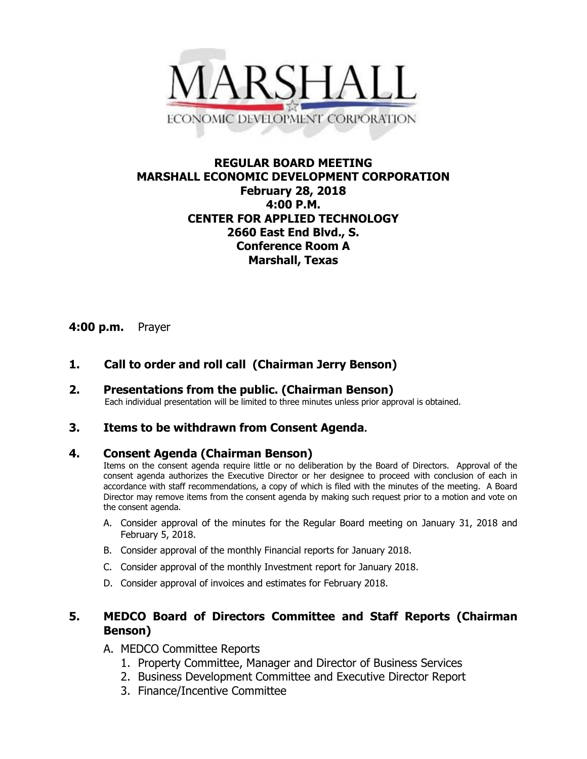

## **REGULAR BOARD MEETING MARSHALL ECONOMIC DEVELOPMENT CORPORATION February 28, 2018 4:00 P.M. CENTER FOR APPLIED TECHNOLOGY 2660 East End Blvd., S. Conference Room A Marshall, Texas**

## **4:00 p.m.** Prayer

# **1. Call to order and roll call (Chairman Jerry Benson)**

**2. Presentations from the public. (Chairman Benson)** Each individual presentation will be limited to three minutes unless prior approval is obtained.

### **3. Items to be withdrawn from Consent Agenda.**

### **4. Consent Agenda (Chairman Benson)**

Items on the consent agenda require little or no deliberation by the Board of Directors. Approval of the consent agenda authorizes the Executive Director or her designee to proceed with conclusion of each in accordance with staff recommendations, a copy of which is filed with the minutes of the meeting. A Board Director may remove items from the consent agenda by making such request prior to a motion and vote on the consent agenda.

- A. Consider approval of the minutes for the Regular Board meeting on January 31, 2018 and February 5, 2018.
- B. Consider approval of the monthly Financial reports for January 2018.
- C. Consider approval of the monthly Investment report for January 2018.
- D. Consider approval of invoices and estimates for February 2018.

## **5. MEDCO Board of Directors Committee and Staff Reports (Chairman Benson)**

- A. MEDCO Committee Reports
	- 1. Property Committee, Manager and Director of Business Services
	- 2. Business Development Committee and Executive Director Report
	- 3. Finance/Incentive Committee